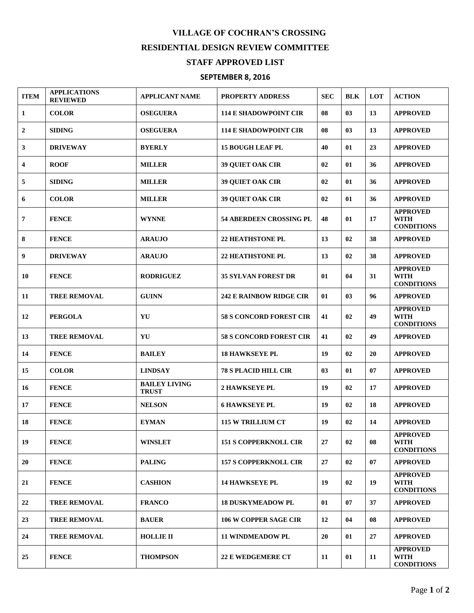## **VILLAGE OF COCHRAN'S CROSSING RESIDENTIAL DESIGN REVIEW COMMITTEE STAFF APPROVED LIST**

## **SEPTEMBER 8, 2016**

| <b>ITEM</b>             | <b>APPLICATIONS</b><br><b>REVIEWED</b> | <b>APPLICANT NAME</b>                | PROPERTY ADDRESS               | <b>SEC</b> | <b>BLK</b> | LOT | <b>ACTION</b>                                       |
|-------------------------|----------------------------------------|--------------------------------------|--------------------------------|------------|------------|-----|-----------------------------------------------------|
| $\mathbf{1}$            | <b>COLOR</b>                           | <b>OSEGUERA</b>                      | <b>114 E SHADOWPOINT CIR</b>   | 08         | 03         | 13  | <b>APPROVED</b>                                     |
| $\overline{2}$          | <b>SIDING</b>                          | <b>OSEGUERA</b>                      | <b>114 E SHADOWPOINT CIR</b>   | 08         | 03         | 13  | <b>APPROVED</b>                                     |
| 3                       | <b>DRIVEWAY</b>                        | <b>BYERLY</b>                        | <b>15 BOUGH LEAF PL</b>        | 40         | 01         | 23  | <b>APPROVED</b>                                     |
| $\overline{\mathbf{4}}$ | <b>ROOF</b>                            | <b>MILLER</b>                        | <b>39 QUIET OAK CIR</b>        | 02         | 01         | 36  | <b>APPROVED</b>                                     |
| 5                       | <b>SIDING</b>                          | <b>MILLER</b>                        | <b>39 QUIET OAK CIR</b>        | 02         | 01         | 36  | <b>APPROVED</b>                                     |
| 6                       | <b>COLOR</b>                           | <b>MILLER</b>                        | <b>39 QUIET OAK CIR</b>        | 02         | 01         | 36  | <b>APPROVED</b>                                     |
| 7                       | <b>FENCE</b>                           | <b>WYNNE</b>                         | <b>54 ABERDEEN CROSSING PL</b> | 48         | 01         | 17  | <b>APPROVED</b><br><b>WITH</b><br><b>CONDITIONS</b> |
| 8                       | <b>FENCE</b>                           | <b>ARAUJO</b>                        | <b>22 HEATHSTONE PL</b>        | 13         | 02         | 38  | <b>APPROVED</b>                                     |
| 9                       | <b>DRIVEWAY</b>                        | <b>ARAUJO</b>                        | <b>22 HEATHSTONE PL</b>        | 13         | 02         | 38  | <b>APPROVED</b>                                     |
| 10                      | <b>FENCE</b>                           | <b>RODRIGUEZ</b>                     | <b>35 SYLVAN FOREST DR</b>     | 01         | 04         | 31  | <b>APPROVED</b><br><b>WITH</b><br><b>CONDITIONS</b> |
| 11                      | <b>TREE REMOVAL</b>                    | <b>GUINN</b>                         | <b>242 E RAINBOW RIDGE CIR</b> | 01         | 03         | 96  | <b>APPROVED</b>                                     |
| 12                      | <b>PERGOLA</b>                         | YU                                   | <b>58 S CONCORD FOREST CIR</b> | 41         | 02         | 49  | <b>APPROVED</b><br><b>WITH</b><br><b>CONDITIONS</b> |
| 13                      | <b>TREE REMOVAL</b>                    | $\mathbf Y \mathbf U$                | <b>58 S CONCORD FOREST CIR</b> | 41         | 02         | 49  | <b>APPROVED</b>                                     |
| 14                      | <b>FENCE</b>                           | <b>BAILEY</b>                        | <b>18 HAWKSEYE PL</b>          | 19         | 02         | 20  | <b>APPROVED</b>                                     |
| 15                      | <b>COLOR</b>                           | <b>LINDSAY</b>                       | <b>78 S PLACID HILL CIR</b>    | 03         | 01         | 07  | <b>APPROVED</b>                                     |
| 16                      | <b>FENCE</b>                           | <b>BAILEY LIVING</b><br><b>TRUST</b> | <b>2 HAWKSEYE PL</b>           | 19         | 02         | 17  | <b>APPROVED</b>                                     |
| 17                      | <b>FENCE</b>                           | <b>NELSON</b>                        | <b>6 HAWKSEYE PL</b>           | 19         | 02         | 18  | <b>APPROVED</b>                                     |
| 18                      | <b>FENCE</b>                           | <b>EYMAN</b>                         | <b>115 W TRILLIUM CT</b>       | 19         | 02         | 14  | <b>APPROVED</b>                                     |
| 19                      | <b>FENCE</b>                           | <b>WINSLET</b>                       | <b>151 S COPPERKNOLL CIR</b>   | 27         | 02         | 08  | <b>APPROVED</b><br><b>WITH</b><br><b>CONDITIONS</b> |
| 20                      | <b>FENCE</b>                           | <b>PALING</b>                        | <b>157 S COPPERKNOLL CIR</b>   | 27         | 02         | 07  | <b>APPROVED</b>                                     |
| 21                      | <b>FENCE</b>                           | <b>CASHION</b>                       | <b>14 HAWKSEYE PL</b>          | 19         | 02         | 19  | <b>APPROVED</b><br><b>WITH</b><br><b>CONDITIONS</b> |
| 22                      | <b>TREE REMOVAL</b>                    | <b>FRANCO</b>                        | <b>18 DUSKYMEADOW PL</b>       | 01         | 07         | 37  | <b>APPROVED</b>                                     |
| 23                      | <b>TREE REMOVAL</b>                    | <b>BAUER</b>                         | <b>106 W COPPER SAGE CIR</b>   | 12         | 04         | 08  | <b>APPROVED</b>                                     |
| 24                      | <b>TREE REMOVAL</b>                    | <b>HOLLIE II</b>                     | <b>11 WINDMEADOW PL</b>        | 20         | 01         | 27  | <b>APPROVED</b>                                     |
| 25                      | <b>FENCE</b>                           | <b>THOMPSON</b>                      | <b>22 E WEDGEMERE CT</b>       | 11         | 01         | 11  | <b>APPROVED</b><br><b>WITH</b><br><b>CONDITIONS</b> |